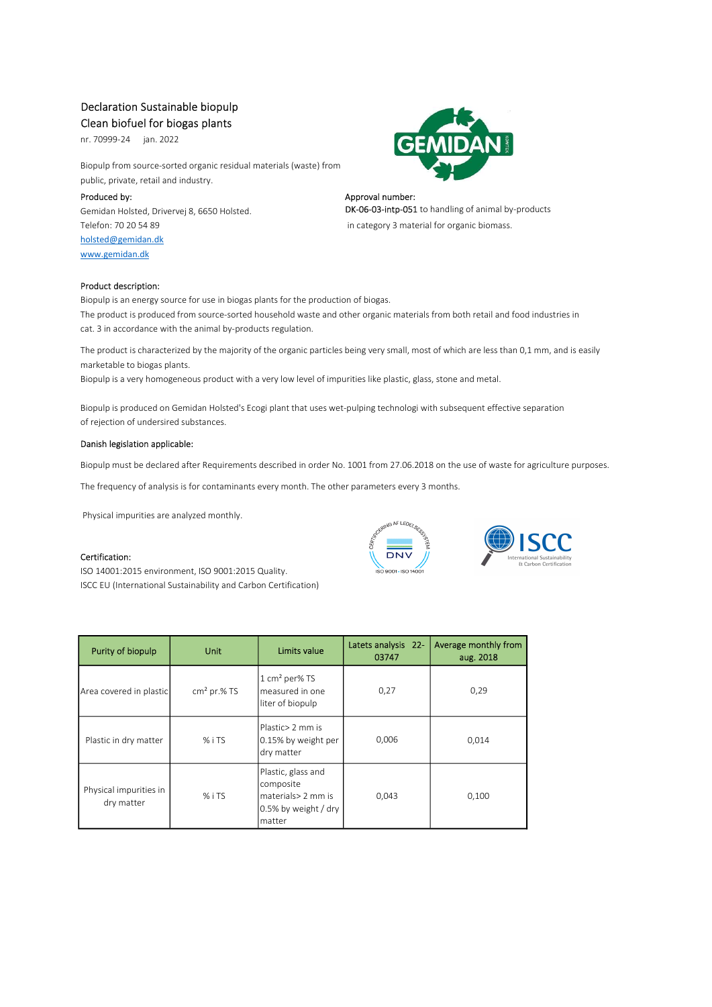## Declaration Sustainable biopulp

Clean biofuel for biogas plants

nr. 70999-24 jan. 2022

Biopulp from source-sorted organic residual materials (waste) from public, private, retail and industry.

Produced by: Approval number: Approval number: Approval number: Approval number: Telefon: 70 20 54 89 in category 3 material for organic biomass. holsted@gemidan.dk www.gemidan.dk



# Gemidan Holsted, Drivervej 8, 6650 Holsted. **DK-06-03-intp-051** to handling of animal by-products

Product description:

Biopulp is an energy source for use in biogas plants for the production of biogas. The product is produced from source-sorted household waste and other organic materials from both retail and food industries in cat. 3 in accordance with the animal by-products regulation.

The product is characterized by the majority of the organic particles being very small, most of which are less than 0,1 mm, and is easily marketable to biogas plants.

Biopulp is a very homogeneous product with a very low level of impurities like plastic, glass, stone and metal.

Biopulp is produced on Gemidan Holsted's Ecogi plant that uses wet-pulping technologi with subsequent effective separation of rejection of undersired substances.

#### Danish legislation applicable:

Biopulp must be declared after Requirements described in order No. 1001 from 27.06.2018 on the use of waste for agriculture purposes.

The frequency of analysis is for contaminants every month. The other parameters every 3 months.

Physical impurities are analyzed monthly.

#### Certification:

ISO 14001:2015 environment, ISO 9001:2015 Quality. ISCC EU (International Sustainability and Carbon Certification)





| Purity of biopulp                                | <b>Unit</b>   | Limits value                                                                            | Latets analysis 22-<br>03747 | Average monthly from<br>aug. 2018 |
|--------------------------------------------------|---------------|-----------------------------------------------------------------------------------------|------------------------------|-----------------------------------|
| Area covered in plastic                          | $cm2$ pr.% TS | 1 cm <sup>2</sup> per% TS<br>measured in one<br>liter of biopulp                        | 0,27                         | 0,29                              |
| Plastic in dry matter                            | % i TS        | Plastic> 2 mm is<br>0.15% by weight per<br>dry matter                                   | 0,006                        | 0,014                             |
| Physical impurities in<br>$%$ i TS<br>dry matter |               | Plastic, glass and<br>composite<br>materials> 2 mm is<br>0.5% by weight / dry<br>matter | 0,043                        | 0.100                             |